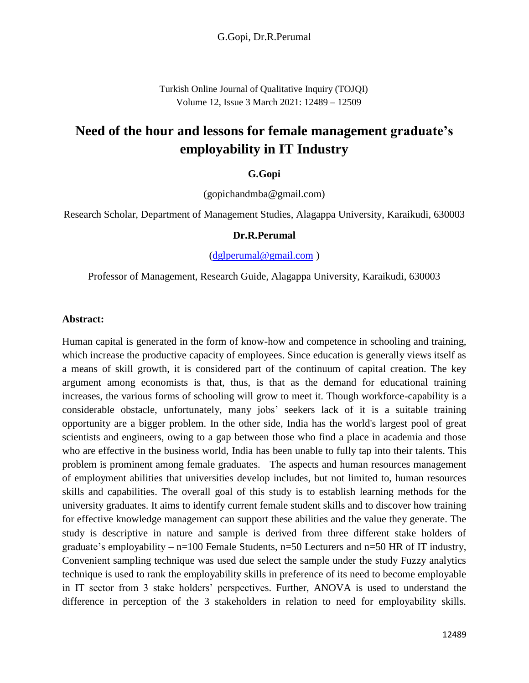Turkish Online Journal of Qualitative Inquiry (TOJQI) Volume 12, Issue 3 March 2021: 12489 – 12509

# **Need of the hour and lessons for female management graduate's employability in IT Industry**

#### **G.Gopi**

(gopichandmba@gmail.com)

Research Scholar, Department of Management Studies, Alagappa University, Karaikudi, 630003

#### **Dr.R.Perumal**

[\(dglperumal@gmail.com](mailto:dglperumal@gmail.com) )

Professor of Management, Research Guide, Alagappa University, Karaikudi, 630003

#### **Abstract:**

Human capital is generated in the form of know-how and competence in schooling and training, which increase the productive capacity of employees. Since education is generally views itself as a means of skill growth, it is considered part of the continuum of capital creation. The key argument among economists is that, thus, is that as the demand for educational training increases, the various forms of schooling will grow to meet it. Though workforce-capability is a considerable obstacle, unfortunately, many jobs' seekers lack of it is a suitable training opportunity are a bigger problem. In the other side, India has the world's largest pool of great scientists and engineers, owing to a gap between those who find a place in academia and those who are effective in the business world, India has been unable to fully tap into their talents. This problem is prominent among female graduates. The aspects and human resources management of employment abilities that universities develop includes, but not limited to, human resources skills and capabilities. The overall goal of this study is to establish learning methods for the university graduates. It aims to identify current female student skills and to discover how training for effective knowledge management can support these abilities and the value they generate. The study is descriptive in nature and sample is derived from three different stake holders of graduate's employability –  $n=100$  Female Students,  $n=50$  Lecturers and  $n=50$  HR of IT industry, Convenient sampling technique was used due select the sample under the study Fuzzy analytics technique is used to rank the employability skills in preference of its need to become employable in IT sector from 3 stake holders' perspectives. Further, ANOVA is used to understand the difference in perception of the 3 stakeholders in relation to need for employability skills.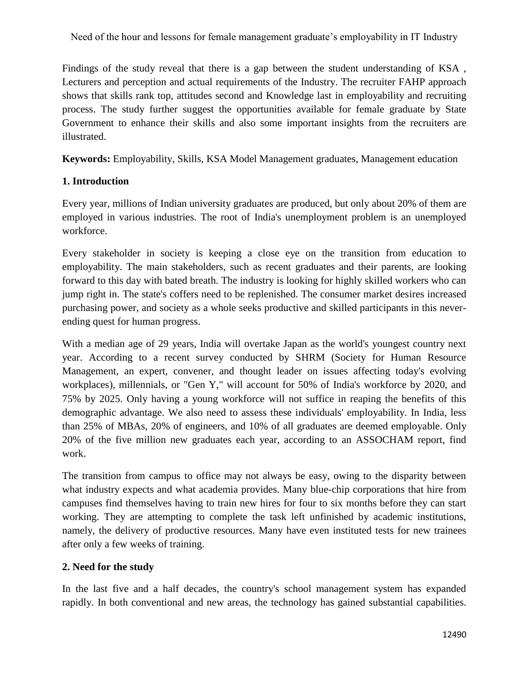Findings of the study reveal that there is a gap between the student understanding of KSA , Lecturers and perception and actual requirements of the Industry. The recruiter FAHP approach shows that skills rank top, attitudes second and Knowledge last in employability and recruiting process. The study further suggest the opportunities available for female graduate by State Government to enhance their skills and also some important insights from the recruiters are illustrated.

**Keywords:** Employability, Skills, KSA Model Management graduates, Management education

#### **1. Introduction**

Every year, millions of Indian university graduates are produced, but only about 20% of them are employed in various industries. The root of India's unemployment problem is an unemployed workforce.

Every stakeholder in society is keeping a close eye on the transition from education to employability. The main stakeholders, such as recent graduates and their parents, are looking forward to this day with bated breath. The industry is looking for highly skilled workers who can jump right in. The state's coffers need to be replenished. The consumer market desires increased purchasing power, and society as a whole seeks productive and skilled participants in this neverending quest for human progress.

With a median age of 29 years, India will overtake Japan as the world's youngest country next year. According to a recent survey conducted by SHRM (Society for Human Resource Management, an expert, convener, and thought leader on issues affecting today's evolving workplaces), millennials, or "Gen Y," will account for 50% of India's workforce by 2020, and 75% by 2025. Only having a young workforce will not suffice in reaping the benefits of this demographic advantage. We also need to assess these individuals' employability. In India, less than 25% of MBAs, 20% of engineers, and 10% of all graduates are deemed employable. Only 20% of the five million new graduates each year, according to an ASSOCHAM report, find work.

The transition from campus to office may not always be easy, owing to the disparity between what industry expects and what academia provides. Many blue-chip corporations that hire from campuses find themselves having to train new hires for four to six months before they can start working. They are attempting to complete the task left unfinished by academic institutions, namely, the delivery of productive resources. Many have even instituted tests for new trainees after only a few weeks of training.

#### **2. Need for the study**

In the last five and a half decades, the country's school management system has expanded rapidly. In both conventional and new areas, the technology has gained substantial capabilities.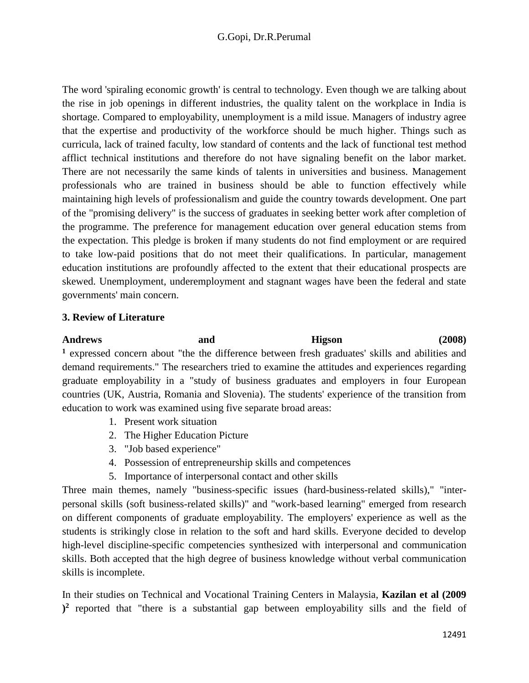The word 'spiraling economic growth' is central to technology. Even though we are talking about the rise in job openings in different industries, the quality talent on the workplace in India is shortage. Compared to employability, unemployment is a mild issue. Managers of industry agree that the expertise and productivity of the workforce should be much higher. Things such as curricula, lack of trained faculty, low standard of contents and the lack of functional test method afflict technical institutions and therefore do not have signaling benefit on the labor market. There are not necessarily the same kinds of talents in universities and business. Management professionals who are trained in business should be able to function effectively while maintaining high levels of professionalism and guide the country towards development. One part of the "promising delivery" is the success of graduates in seeking better work after completion of the programme. The preference for management education over general education stems from the expectation. This pledge is broken if many students do not find employment or are required to take low-paid positions that do not meet their qualifications. In particular, management education institutions are profoundly affected to the extent that their educational prospects are skewed. Unemployment, underemployment and stagnant wages have been the federal and state governments' main concern.

#### **3. Review of Literature**

Andrews and and Higson (2008) **<sup>1</sup>** expressed concern about "the the difference between fresh graduates' skills and abilities and demand requirements." The researchers tried to examine the attitudes and experiences regarding graduate employability in a "study of business graduates and employers in four European countries (UK, Austria, Romania and Slovenia). The students' experience of the transition from education to work was examined using five separate broad areas:

- 1. Present work situation
- 2. The Higher Education Picture
- 3. "Job based experience"
- 4. Possession of entrepreneurship skills and competences
- 5. Importance of interpersonal contact and other skills

Three main themes, namely "business-specific issues (hard-business-related skills)," "interpersonal skills (soft business-related skills)" and "work-based learning" emerged from research on different components of graduate employability. The employers' experience as well as the students is strikingly close in relation to the soft and hard skills. Everyone decided to develop high-level discipline-specific competencies synthesized with interpersonal and communication skills. Both accepted that the high degree of business knowledge without verbal communication skills is incomplete.

In their studies on Technical and Vocational Training Centers in Malaysia, **Kazilan et al (2009 ) 2** reported that "there is a substantial gap between employability sills and the field of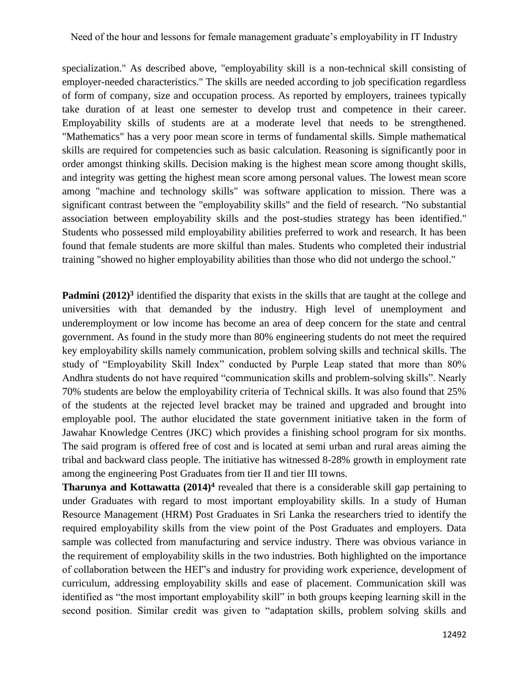specialization." As described above, "employability skill is a non-technical skill consisting of employer-needed characteristics." The skills are needed according to job specification regardless of form of company, size and occupation process. As reported by employers, trainees typically take duration of at least one semester to develop trust and competence in their career. Employability skills of students are at a moderate level that needs to be strengthened. "Mathematics" has a very poor mean score in terms of fundamental skills. Simple mathematical skills are required for competencies such as basic calculation. Reasoning is significantly poor in order amongst thinking skills. Decision making is the highest mean score among thought skills, and integrity was getting the highest mean score among personal values. The lowest mean score among "machine and technology skills" was software application to mission. There was a significant contrast between the "employability skills" and the field of research. "No substantial association between employability skills and the post-studies strategy has been identified." Students who possessed mild employability abilities preferred to work and research. It has been found that female students are more skilful than males. Students who completed their industrial training "showed no higher employability abilities than those who did not undergo the school."

**Padmini** (2012)<sup>3</sup> identified the disparity that exists in the skills that are taught at the college and universities with that demanded by the industry. High level of unemployment and underemployment or low income has become an area of deep concern for the state and central government. As found in the study more than 80% engineering students do not meet the required key employability skills namely communication, problem solving skills and technical skills. The study of "Employability Skill Index" conducted by Purple Leap stated that more than 80% Andhra students do not have required "communication skills and problem-solving skills". Nearly 70% students are below the employability criteria of Technical skills. It was also found that 25% of the students at the rejected level bracket may be trained and upgraded and brought into employable pool. The author elucidated the state government initiative taken in the form of Jawahar Knowledge Centres (JKC) which provides a finishing school program for six months. The said program is offered free of cost and is located at semi urban and rural areas aiming the tribal and backward class people. The initiative has witnessed 8-28% growth in employment rate among the engineering Post Graduates from tier II and tier III towns.

**Tharunya and Kottawatta (2014)<sup>4</sup>** revealed that there is a considerable skill gap pertaining to under Graduates with regard to most important employability skills. In a study of Human Resource Management (HRM) Post Graduates in Sri Lanka the researchers tried to identify the required employability skills from the view point of the Post Graduates and employers. Data sample was collected from manufacturing and service industry. There was obvious variance in the requirement of employability skills in the two industries. Both highlighted on the importance of collaboration between the HEI"s and industry for providing work experience, development of curriculum, addressing employability skills and ease of placement. Communication skill was identified as "the most important employability skill" in both groups keeping learning skill in the second position. Similar credit was given to "adaptation skills, problem solving skills and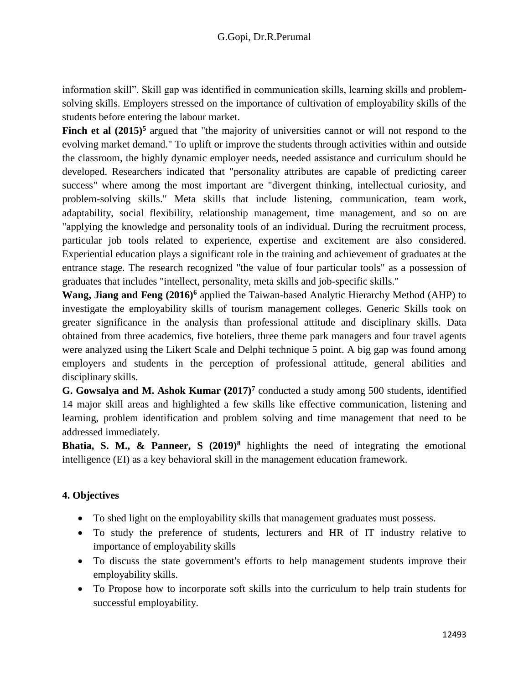information skill". Skill gap was identified in communication skills, learning skills and problemsolving skills. Employers stressed on the importance of cultivation of employability skills of the students before entering the labour market.

**Finch et al**  $(2015)^5$  **argued that "the majority of universities cannot or will not respond to the** evolving market demand." To uplift or improve the students through activities within and outside the classroom, the highly dynamic employer needs, needed assistance and curriculum should be developed. Researchers indicated that "personality attributes are capable of predicting career success" where among the most important are "divergent thinking, intellectual curiosity, and problem-solving skills." Meta skills that include listening, communication, team work, adaptability, social flexibility, relationship management, time management, and so on are "applying the knowledge and personality tools of an individual. During the recruitment process, particular job tools related to experience, expertise and excitement are also considered. Experiential education plays a significant role in the training and achievement of graduates at the entrance stage. The research recognized "the value of four particular tools" as a possession of graduates that includes "intellect, personality, meta skills and job-specific skills."

**Wang, Jiang and Feng (2016)<sup>6</sup>** applied the Taiwan-based Analytic Hierarchy Method (AHP) to investigate the employability skills of tourism management colleges. Generic Skills took on greater significance in the analysis than professional attitude and disciplinary skills. Data obtained from three academics, five hoteliers, three theme park managers and four travel agents were analyzed using the Likert Scale and Delphi technique 5 point. A big gap was found among employers and students in the perception of professional attitude, general abilities and disciplinary skills.

**G. Gowsalya and M. Ashok Kumar (2017)<sup>7</sup>** conducted a study among 500 students, identified 14 major skill areas and highlighted a few skills like effective communication, listening and learning, problem identification and problem solving and time management that need to be addressed immediately.

**Bhatia, S. M., & Panneer, S (2019)<sup>8</sup>** highlights the need of integrating the emotional intelligence (EI) as a key behavioral skill in the management education framework.

### **4. Objectives**

- To shed light on the employability skills that management graduates must possess.
- To study the preference of students, lecturers and HR of IT industry relative to importance of employability skills
- To discuss the state government's efforts to help management students improve their employability skills.
- To Propose how to incorporate soft skills into the curriculum to help train students for successful employability.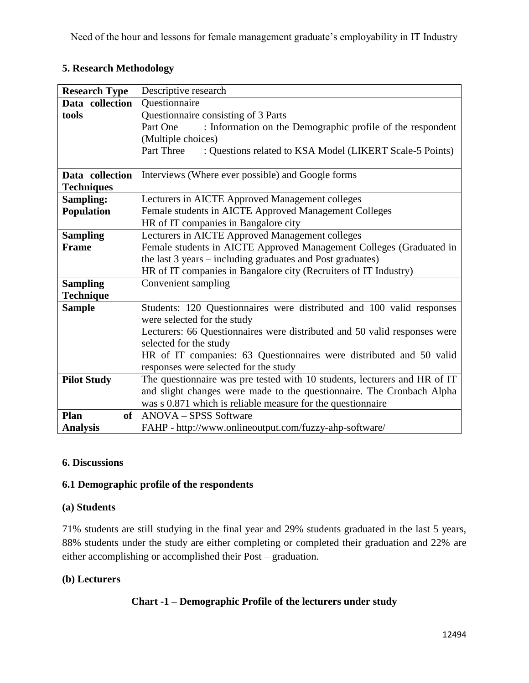## **5. Research Methodology**

| <b>Research Type</b> | Descriptive research                                                      |  |  |  |  |  |  |  |  |
|----------------------|---------------------------------------------------------------------------|--|--|--|--|--|--|--|--|
| Data collection      | Questionnaire                                                             |  |  |  |  |  |  |  |  |
| tools                | Questionnaire consisting of 3 Parts                                       |  |  |  |  |  |  |  |  |
|                      | : Information on the Demographic profile of the respondent<br>Part One    |  |  |  |  |  |  |  |  |
|                      | (Multiple choices)                                                        |  |  |  |  |  |  |  |  |
|                      | Part Three<br>: Questions related to KSA Model (LIKERT Scale-5 Points)    |  |  |  |  |  |  |  |  |
|                      |                                                                           |  |  |  |  |  |  |  |  |
| Data collection      | Interviews (Where ever possible) and Google forms                         |  |  |  |  |  |  |  |  |
| <b>Techniques</b>    |                                                                           |  |  |  |  |  |  |  |  |
| Sampling:            | Lecturers in AICTE Approved Management colleges                           |  |  |  |  |  |  |  |  |
| <b>Population</b>    | Female students in AICTE Approved Management Colleges                     |  |  |  |  |  |  |  |  |
|                      | HR of IT companies in Bangalore city                                      |  |  |  |  |  |  |  |  |
| <b>Sampling</b>      | Lecturers in AICTE Approved Management colleges                           |  |  |  |  |  |  |  |  |
| <b>Frame</b>         | Female students in AICTE Approved Management Colleges (Graduated in       |  |  |  |  |  |  |  |  |
|                      | the last 3 years – including graduates and Post graduates)                |  |  |  |  |  |  |  |  |
|                      | HR of IT companies in Bangalore city (Recruiters of IT Industry)          |  |  |  |  |  |  |  |  |
| <b>Sampling</b>      | Convenient sampling                                                       |  |  |  |  |  |  |  |  |
| <b>Technique</b>     |                                                                           |  |  |  |  |  |  |  |  |
| <b>Sample</b>        | Students: 120 Questionnaires were distributed and 100 valid responses     |  |  |  |  |  |  |  |  |
|                      | were selected for the study                                               |  |  |  |  |  |  |  |  |
|                      | Lecturers: 66 Questionnaires were distributed and 50 valid responses were |  |  |  |  |  |  |  |  |
|                      | selected for the study                                                    |  |  |  |  |  |  |  |  |
|                      | HR of IT companies: 63 Questionnaires were distributed and 50 valid       |  |  |  |  |  |  |  |  |
|                      | responses were selected for the study                                     |  |  |  |  |  |  |  |  |
| <b>Pilot Study</b>   | The questionnaire was pre tested with 10 students, lecturers and HR of IT |  |  |  |  |  |  |  |  |
|                      | and slight changes were made to the questionnaire. The Cronbach Alpha     |  |  |  |  |  |  |  |  |
|                      | was s 0.871 which is reliable measure for the questionnaire               |  |  |  |  |  |  |  |  |
| Plan<br>of           | ANOVA – SPSS Software                                                     |  |  |  |  |  |  |  |  |
| <b>Analysis</b>      | FAHP - http://www.onlineoutput.com/fuzzy-ahp-software/                    |  |  |  |  |  |  |  |  |

### **6. Discussions**

### **6.1 Demographic profile of the respondents**

#### **(a) Students**

71% students are still studying in the final year and 29% students graduated in the last 5 years, 88% students under the study are either completing or completed their graduation and 22% are either accomplishing or accomplished their Post – graduation.

#### **(b) Lecturers**

#### **Chart -1 – Demographic Profile of the lecturers under study**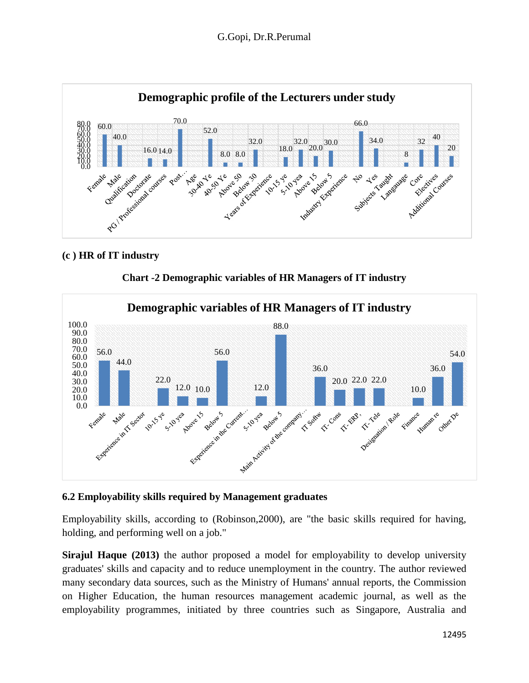

#### **(c ) HR of IT industry**





#### **6.2 Employability skills required by Management graduates**

Employability skills, according to (Robinson,2000), are "the basic skills required for having, holding, and performing well on a job."

**Sirajul Haque (2013)** the author proposed a model for employability to develop university graduates' skills and capacity and to reduce unemployment in the country. The author reviewed many secondary data sources, such as the Ministry of Humans' annual reports, the Commission on Higher Education, the human resources management academic journal, as well as the employability programmes, initiated by three countries such as Singapore, Australia and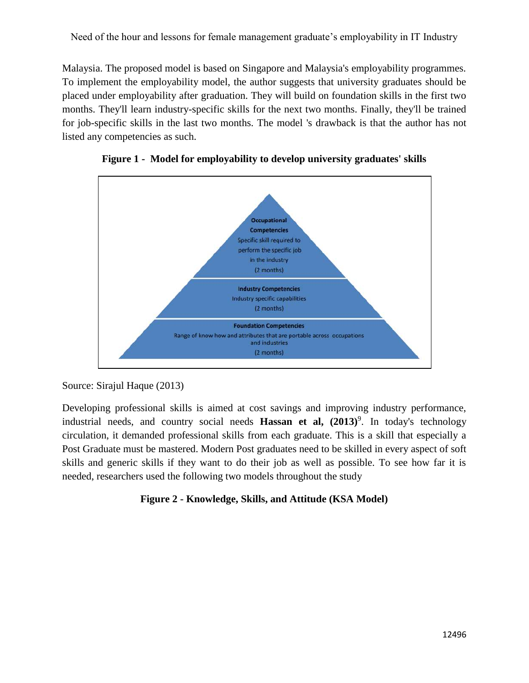Malaysia. The proposed model is based on Singapore and Malaysia's employability programmes. To implement the employability model, the author suggests that university graduates should be placed under employability after graduation. They will build on foundation skills in the first two months. They'll learn industry-specific skills for the next two months. Finally, they'll be trained for job-specific skills in the last two months. The model 's drawback is that the author has not listed any competencies as such.





#### Source: Sirajul Haque (2013)

Developing professional skills is aimed at cost savings and improving industry performance, industrial needs, and country social needs **Hassan et al, (2013)**<sup>9</sup> . In today's technology circulation, it demanded professional skills from each graduate. This is a skill that especially a Post Graduate must be mastered. Modern Post graduates need to be skilled in every aspect of soft skills and generic skills if they want to do their job as well as possible. To see how far it is needed, researchers used the following two models throughout the study

### **Figure 2 - Knowledge, Skills, and Attitude (KSA Model)**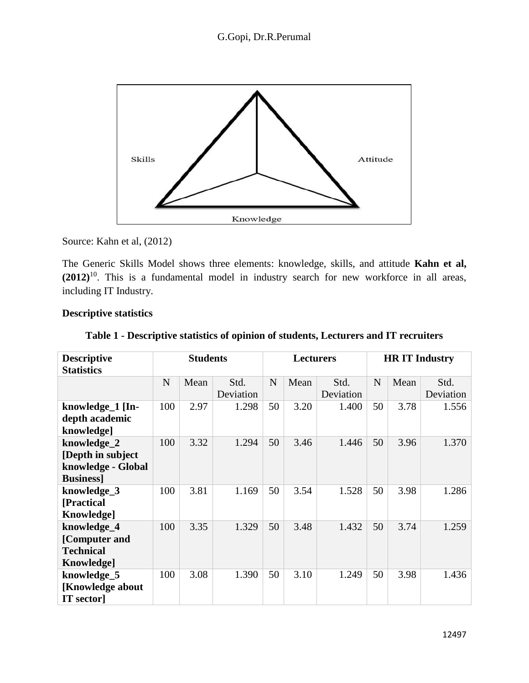

Source: Kahn et al, (2012)

The Generic Skills Model shows three elements: knowledge, skills, and attitude **Kahn et al, (2012)**<sup>10</sup>. This is a fundamental model in industry search for new workforce in all areas, including IT Industry.

#### **Descriptive statistics**

| <b>Descriptive</b><br><b>Statistics</b>                                    | <b>Students</b> |      |                   | <b>Lecturers</b> |      |                   | <b>HRIT</b> Industry |      |                   |
|----------------------------------------------------------------------------|-----------------|------|-------------------|------------------|------|-------------------|----------------------|------|-------------------|
|                                                                            | N               | Mean | Std.<br>Deviation | N                | Mean | Std.<br>Deviation | N                    | Mean | Std.<br>Deviation |
| knowledge_1 [In-<br>depth academic<br>knowledge]                           | 100             | 2.97 | 1.298             | 50               | 3.20 | 1.400             | 50                   | 3.78 | 1.556             |
| knowledge_2<br>[Depth in subject]<br>knowledge - Global<br><b>Business</b> | 100             | 3.32 | 1.294             | 50               | 3.46 | 1.446             | 50                   | 3.96 | 1.370             |
| knowledge_3<br>[Practical<br>Knowledge]                                    | 100             | 3.81 | 1.169             | 50               | 3.54 | 1.528             | 50                   | 3.98 | 1.286             |
| knowledge_4<br>[Computer and<br><b>Technical</b><br>Knowledge]             | 100             | 3.35 | 1.329             | 50               | 3.48 | 1.432             | 50                   | 3.74 | 1.259             |
| knowledge_5<br>[Knowledge about<br><b>IT</b> sector                        | 100             | 3.08 | 1.390             | 50               | 3.10 | 1.249             | 50                   | 3.98 | 1.436             |

#### **Table 1 - Descriptive statistics of opinion of students, Lecturers and IT recruiters**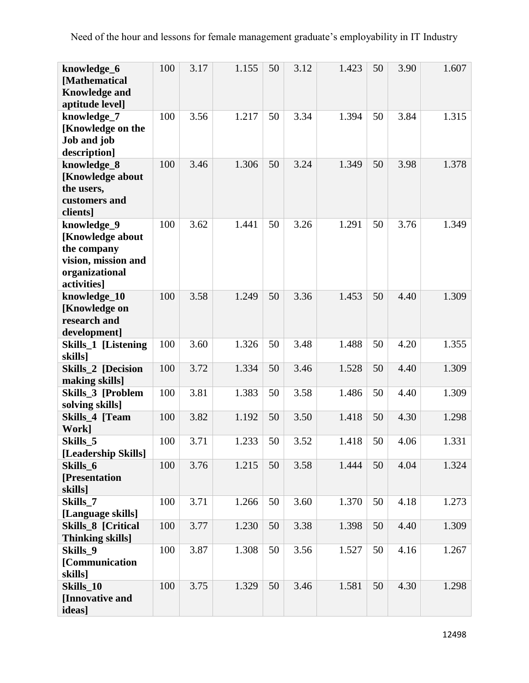| knowledge_6<br>[Mathematical<br><b>Knowledge and</b><br>aptitude level]                                | 100 | 3.17 | 1.155 | 50 | 3.12 | 1.423 | 50 | 3.90 | 1.607 |
|--------------------------------------------------------------------------------------------------------|-----|------|-------|----|------|-------|----|------|-------|
| knowledge_7<br>[Knowledge on the<br>Job and job<br>description]                                        | 100 | 3.56 | 1.217 | 50 | 3.34 | 1.394 | 50 | 3.84 | 1.315 |
| knowledge_8<br>[Knowledge about<br>the users,<br>customers and<br>clients]                             | 100 | 3.46 | 1.306 | 50 | 3.24 | 1.349 | 50 | 3.98 | 1.378 |
| knowledge_9<br>[Knowledge about<br>the company<br>vision, mission and<br>organizational<br>activities] | 100 | 3.62 | 1.441 | 50 | 3.26 | 1.291 | 50 | 3.76 | 1.349 |
| knowledge_10<br>[Knowledge on<br>research and<br>development]                                          | 100 | 3.58 | 1.249 | 50 | 3.36 | 1.453 | 50 | 4.40 | 1.309 |
| Skills_1 [Listening<br>skills]                                                                         | 100 | 3.60 | 1.326 | 50 | 3.48 | 1.488 | 50 | 4.20 | 1.355 |
| <b>Skills_2 [Decision</b><br>making skills]                                                            | 100 | 3.72 | 1.334 | 50 | 3.46 | 1.528 | 50 | 4.40 | 1.309 |
| Skills_3 [Problem<br>solving skills]                                                                   | 100 | 3.81 | 1.383 | 50 | 3.58 | 1.486 | 50 | 4.40 | 1.309 |
| Skills 4 [Team<br>Work]                                                                                | 100 | 3.82 | 1.192 | 50 | 3.50 | 1.418 | 50 | 4.30 | 1.298 |
| Skills_5<br>[Leadership Skills]                                                                        | 100 | 3.71 | 1.233 | 50 | 3.52 | 1.418 | 50 | 4.06 | 1.331 |
| Skills 6<br>[Presentation<br>skills]                                                                   | 100 | 3.76 | 1.215 | 50 | 3.58 | 1.444 | 50 | 4.04 | 1.324 |
| Skills 7<br>[Language skills]                                                                          | 100 | 3.71 | 1.266 | 50 | 3.60 | 1.370 | 50 | 4.18 | 1.273 |
| Skills_8 [Critical<br><b>Thinking skills</b> ]                                                         | 100 | 3.77 | 1.230 | 50 | 3.38 | 1.398 | 50 | 4.40 | 1.309 |
| Skills 9<br>[Communication<br>skills]                                                                  | 100 | 3.87 | 1.308 | 50 | 3.56 | 1.527 | 50 | 4.16 | 1.267 |
| Skills_10<br>[Innovative and<br>ideas]                                                                 | 100 | 3.75 | 1.329 | 50 | 3.46 | 1.581 | 50 | 4.30 | 1.298 |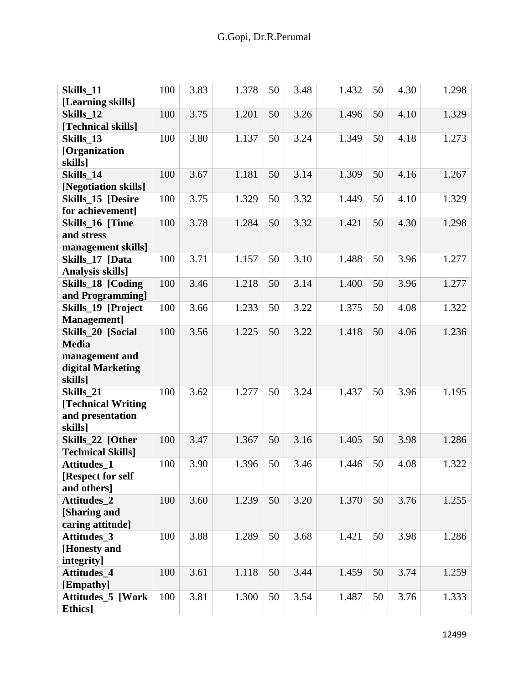| Skills_11<br>[Learning skills]                                                      | 100 | 3.83 | 1.378 | 50 | 3.48 | 1.432 | 50 | 4.30 | 1.298 |
|-------------------------------------------------------------------------------------|-----|------|-------|----|------|-------|----|------|-------|
| Skills 12<br>[Technical skills]                                                     | 100 | 3.75 | 1.201 | 50 | 3.26 | 1.496 | 50 | 4.10 | 1.329 |
| Skills 13<br>[Organization                                                          | 100 | 3.80 | 1.137 | 50 | 3.24 | 1.349 | 50 | 4.18 | 1.273 |
| skills]<br>Skills 14<br>[Negotiation skills]                                        | 100 | 3.67 | 1.181 | 50 | 3.14 | 1.309 | 50 | 4.16 | 1.267 |
| <b>Skills 15 [Desire</b><br>for achievement]                                        | 100 | 3.75 | 1.329 | 50 | 3.32 | 1.449 | 50 | 4.10 | 1.329 |
| Skills_16 [Time<br>and stress                                                       | 100 | 3.78 | 1.284 | 50 | 3.32 | 1.421 | 50 | 4.30 | 1.298 |
| management skills]<br>Skills_17 [Data<br>Analysis skills]                           | 100 | 3.71 | 1.157 | 50 | 3.10 | 1.488 | 50 | 3.96 | 1.277 |
| Skills_18 [Coding<br>and Programming]                                               | 100 | 3.46 | 1.218 | 50 | 3.14 | 1.400 | 50 | 3.96 | 1.277 |
| Skills_19 [Project<br>Management]                                                   | 100 | 3.66 | 1.233 | 50 | 3.22 | 1.375 | 50 | 4.08 | 1.322 |
| Skills_20 [Social<br><b>Media</b><br>management and<br>digital Marketing<br>skills] | 100 | 3.56 | 1.225 | 50 | 3.22 | 1.418 | 50 | 4.06 | 1.236 |
| Skills_21<br>[Technical Writing<br>and presentation<br>skills]                      | 100 | 3.62 | 1.277 | 50 | 3.24 | 1.437 | 50 | 3.96 | 1.195 |
| Skills 22 [Other<br><b>Technical Skills]</b>                                        | 100 | 3.47 | 1.367 | 50 | 3.16 | 1.405 | 50 | 3.98 | 1.286 |
| <b>Attitudes 1</b><br>[Respect for self<br>and others]                              | 100 | 3.90 | 1.396 | 50 | 3.46 | 1.446 | 50 | 4.08 | 1.322 |
| <b>Attitudes 2</b><br>[Sharing and<br>caring attitude]                              | 100 | 3.60 | 1.239 | 50 | 3.20 | 1.370 | 50 | 3.76 | 1.255 |
| Attitudes_3<br>[Honesty and<br>integrity]                                           | 100 | 3.88 | 1.289 | 50 | 3.68 | 1.421 | 50 | 3.98 | 1.286 |
| Attitudes_4<br>[Empathy]                                                            | 100 | 3.61 | 1.118 | 50 | 3.44 | 1.459 | 50 | 3.74 | 1.259 |
| <b>Attitudes_5 [Work</b><br>Ethics]                                                 | 100 | 3.81 | 1.300 | 50 | 3.54 | 1.487 | 50 | 3.76 | 1.333 |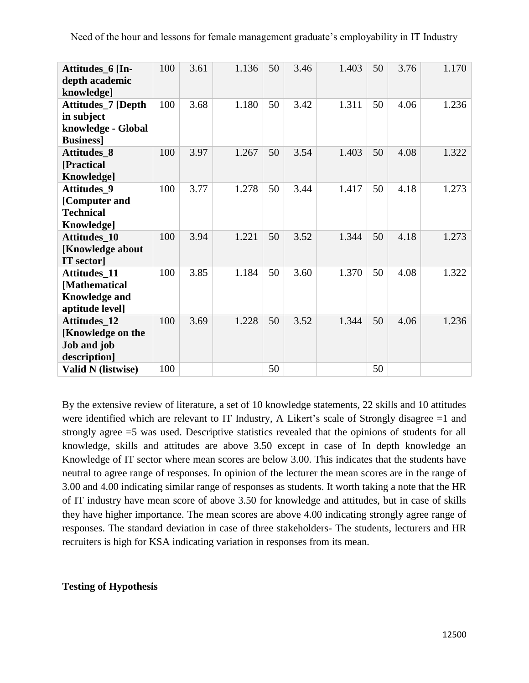| Need of the hour and lessons for female management graduate's employability in IT Industry |  |
|--------------------------------------------------------------------------------------------|--|
|--------------------------------------------------------------------------------------------|--|

| Attitudes 6 [In-<br>depth academic<br>knowledge]                                | 100 | 3.61 | 1.136 | 50 | 3.46 | 1.403 | 50 | 3.76 | 1.170 |
|---------------------------------------------------------------------------------|-----|------|-------|----|------|-------|----|------|-------|
| Attitudes_7 [Depth<br>in subject<br>knowledge - Global<br><b>Business</b> ]     | 100 | 3.68 | 1.180 | 50 | 3.42 | 1.311 | 50 | 4.06 | 1.236 |
| Attitudes_8<br>[Practical<br>Knowledge]                                         | 100 | 3.97 | 1.267 | 50 | 3.54 | 1.403 | 50 | 4.08 | 1.322 |
| <b>Attitudes 9</b><br>[Computer and<br><b>Technical</b><br>Knowledge]           | 100 | 3.77 | 1.278 | 50 | 3.44 | 1.417 | 50 | 4.18 | 1.273 |
| Attitudes_10<br>[Knowledge about<br><b>IT</b> sector]                           | 100 | 3.94 | 1.221 | 50 | 3.52 | 1.344 | 50 | 4.18 | 1.273 |
| <b>Attitudes 11</b><br>[Mathematical<br><b>Knowledge and</b><br>aptitude level] | 100 | 3.85 | 1.184 | 50 | 3.60 | 1.370 | 50 | 4.08 | 1.322 |
| <b>Attitudes 12</b><br>[Knowledge on the<br>Job and job<br>description]         | 100 | 3.69 | 1.228 | 50 | 3.52 | 1.344 | 50 | 4.06 | 1.236 |
| <b>Valid N</b> (listwise)                                                       | 100 |      |       | 50 |      |       | 50 |      |       |

By the extensive review of literature, a set of 10 knowledge statements, 22 skills and 10 attitudes were identified which are relevant to IT Industry, A Likert's scale of Strongly disagree =1 and strongly agree =5 was used. Descriptive statistics revealed that the opinions of students for all knowledge, skills and attitudes are above 3.50 except in case of In depth knowledge an Knowledge of IT sector where mean scores are below 3.00. This indicates that the students have neutral to agree range of responses. In opinion of the lecturer the mean scores are in the range of 3.00 and 4.00 indicating similar range of responses as students. It worth taking a note that the HR of IT industry have mean score of above 3.50 for knowledge and attitudes, but in case of skills they have higher importance. The mean scores are above 4.00 indicating strongly agree range of responses. The standard deviation in case of three stakeholders- The students, lecturers and HR recruiters is high for KSA indicating variation in responses from its mean.

#### **Testing of Hypothesis**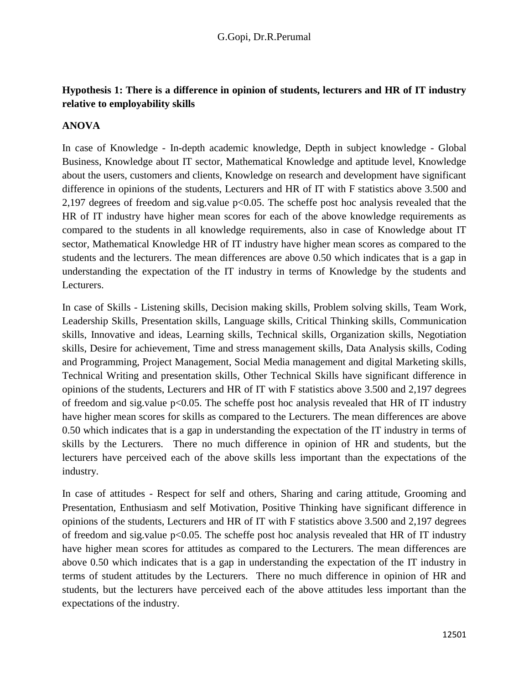## **Hypothesis 1: There is a difference in opinion of students, lecturers and HR of IT industry relative to employability skills**

#### **ANOVA**

In case of Knowledge - In-depth academic knowledge, Depth in subject knowledge - Global Business, Knowledge about IT sector, Mathematical Knowledge and aptitude level, Knowledge about the users, customers and clients, Knowledge on research and development have significant difference in opinions of the students, Lecturers and HR of IT with F statistics above 3.500 and 2,197 degrees of freedom and sig.value p<0.05. The scheffe post hoc analysis revealed that the HR of IT industry have higher mean scores for each of the above knowledge requirements as compared to the students in all knowledge requirements, also in case of Knowledge about IT sector, Mathematical Knowledge HR of IT industry have higher mean scores as compared to the students and the lecturers. The mean differences are above 0.50 which indicates that is a gap in understanding the expectation of the IT industry in terms of Knowledge by the students and Lecturers.

In case of Skills - Listening skills, Decision making skills, Problem solving skills, Team Work, Leadership Skills, Presentation skills, Language skills, Critical Thinking skills, Communication skills, Innovative and ideas, Learning skills, Technical skills, Organization skills, Negotiation skills, Desire for achievement, Time and stress management skills, Data Analysis skills, Coding and Programming, Project Management, Social Media management and digital Marketing skills, Technical Writing and presentation skills, Other Technical Skills have significant difference in opinions of the students, Lecturers and HR of IT with F statistics above 3.500 and 2,197 degrees of freedom and sig.value  $p<0.05$ . The scheffe post hoc analysis revealed that HR of IT industry have higher mean scores for skills as compared to the Lecturers. The mean differences are above 0.50 which indicates that is a gap in understanding the expectation of the IT industry in terms of skills by the Lecturers. There no much difference in opinion of HR and students, but the lecturers have perceived each of the above skills less important than the expectations of the industry.

In case of attitudes - Respect for self and others, Sharing and caring attitude, Grooming and Presentation, Enthusiasm and self Motivation, Positive Thinking have significant difference in opinions of the students, Lecturers and HR of IT with F statistics above 3.500 and 2,197 degrees of freedom and sig.value  $p<0.05$ . The scheffe post hoc analysis revealed that HR of IT industry have higher mean scores for attitudes as compared to the Lecturers. The mean differences are above 0.50 which indicates that is a gap in understanding the expectation of the IT industry in terms of student attitudes by the Lecturers. There no much difference in opinion of HR and students, but the lecturers have perceived each of the above attitudes less important than the expectations of the industry.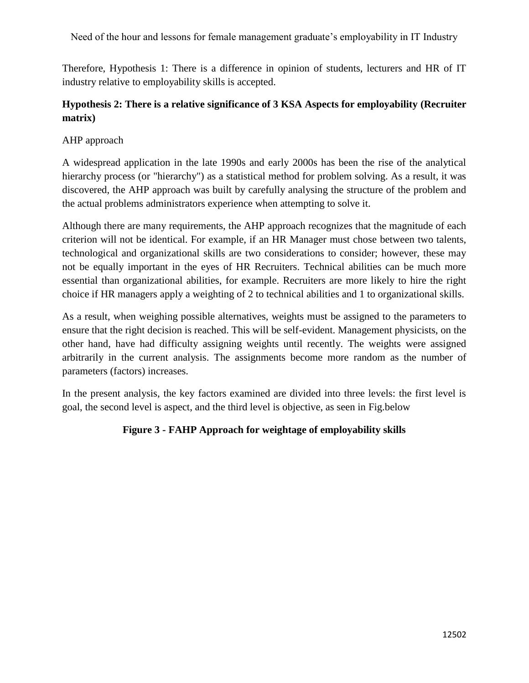Therefore, Hypothesis 1: There is a difference in opinion of students, lecturers and HR of IT industry relative to employability skills is accepted.

### **Hypothesis 2: There is a relative significance of 3 KSA Aspects for employability (Recruiter matrix)**

#### AHP approach

A widespread application in the late 1990s and early 2000s has been the rise of the analytical hierarchy process (or "hierarchy") as a statistical method for problem solving. As a result, it was discovered, the AHP approach was built by carefully analysing the structure of the problem and the actual problems administrators experience when attempting to solve it.

Although there are many requirements, the AHP approach recognizes that the magnitude of each criterion will not be identical. For example, if an HR Manager must chose between two talents, technological and organizational skills are two considerations to consider; however, these may not be equally important in the eyes of HR Recruiters. Technical abilities can be much more essential than organizational abilities, for example. Recruiters are more likely to hire the right choice if HR managers apply a weighting of 2 to technical abilities and 1 to organizational skills.

As a result, when weighing possible alternatives, weights must be assigned to the parameters to ensure that the right decision is reached. This will be self-evident. Management physicists, on the other hand, have had difficulty assigning weights until recently. The weights were assigned arbitrarily in the current analysis. The assignments become more random as the number of parameters (factors) increases.

In the present analysis, the key factors examined are divided into three levels: the first level is goal, the second level is aspect, and the third level is objective, as seen in Fig.below

#### **Figure 3 - FAHP Approach for weightage of employability skills**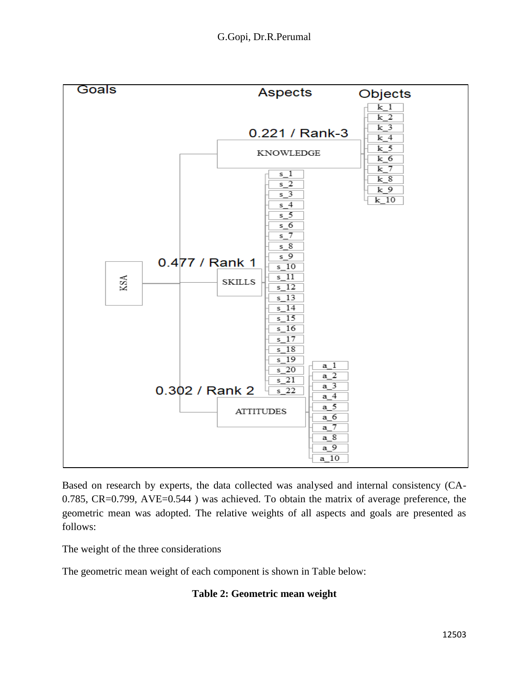

Based on research by experts, the data collected was analysed and internal consistency (CA-0.785, CR=0.799, AVE=0.544 ) was achieved. To obtain the matrix of average preference, the geometric mean was adopted. The relative weights of all aspects and goals are presented as follows:

The weight of the three considerations

The geometric mean weight of each component is shown in Table below:

#### **Table 2: Geometric mean weight**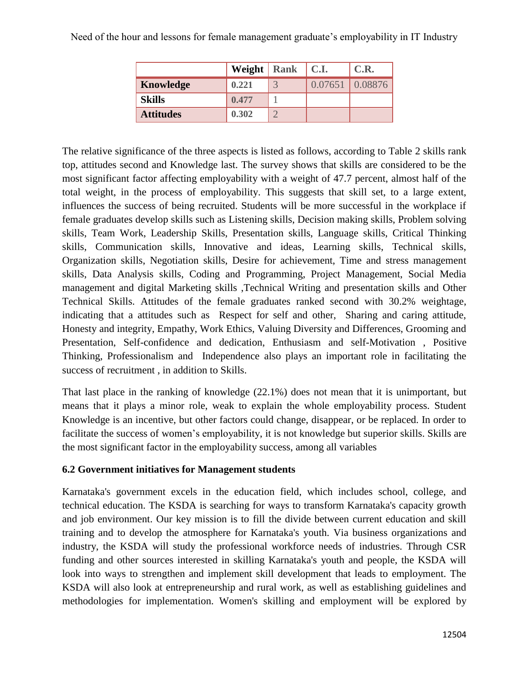|                  | Weight   Rank   C.I. |                   | C.R. |
|------------------|----------------------|-------------------|------|
| Knowledge        | 0.221                | $0.07651$ 0.08876 |      |
| <b>Skills</b>    | 0.477                |                   |      |
| <b>Attitudes</b> | 0.302                |                   |      |

The relative significance of the three aspects is listed as follows, according to Table 2 skills rank top, attitudes second and Knowledge last. The survey shows that skills are considered to be the most significant factor affecting employability with a weight of 47.7 percent, almost half of the total weight, in the process of employability. This suggests that skill set, to a large extent, influences the success of being recruited. Students will be more successful in the workplace if female graduates develop skills such as Listening skills, Decision making skills, Problem solving skills, Team Work, Leadership Skills, Presentation skills, Language skills, Critical Thinking skills, Communication skills, Innovative and ideas, Learning skills, Technical skills, Organization skills, Negotiation skills, Desire for achievement, Time and stress management skills, Data Analysis skills, Coding and Programming, Project Management, Social Media management and digital Marketing skills ,Technical Writing and presentation skills and Other Technical Skills. Attitudes of the female graduates ranked second with 30.2% weightage, indicating that a attitudes such as Respect for self and other, Sharing and caring attitude, Honesty and integrity, Empathy, Work Ethics, Valuing Diversity and Differences, Grooming and Presentation, Self-confidence and dedication, Enthusiasm and self-Motivation , Positive Thinking, Professionalism and Independence also plays an important role in facilitating the success of recruitment , in addition to Skills.

That last place in the ranking of knowledge (22.1%) does not mean that it is unimportant, but means that it plays a minor role, weak to explain the whole employability process. Student Knowledge is an incentive, but other factors could change, disappear, or be replaced. In order to facilitate the success of women's employability, it is not knowledge but superior skills. Skills are the most significant factor in the employability success, among all variables

## **6.2 Government initiatives for Management students**

Karnataka's government excels in the education field, which includes school, college, and technical education. The KSDA is searching for ways to transform Karnataka's capacity growth and job environment. Our key mission is to fill the divide between current education and skill training and to develop the atmosphere for Karnataka's youth. Via business organizations and industry, the KSDA will study the professional workforce needs of industries. Through CSR funding and other sources interested in skilling Karnataka's youth and people, the KSDA will look into ways to strengthen and implement skill development that leads to employment. The KSDA will also look at entrepreneurship and rural work, as well as establishing guidelines and methodologies for implementation. Women's skilling and employment will be explored by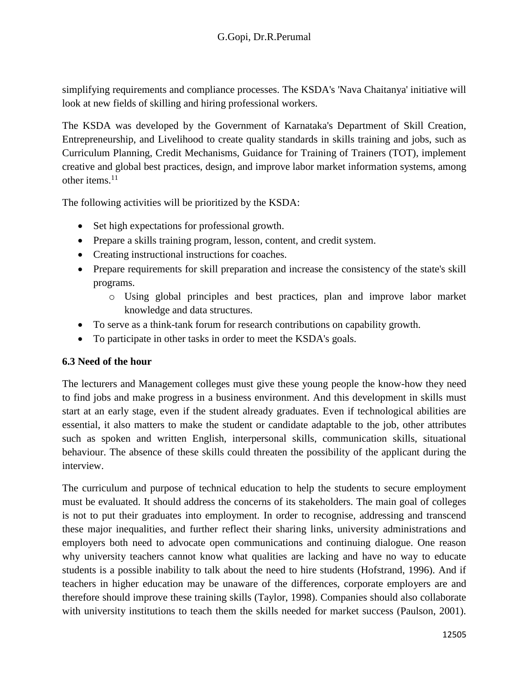simplifying requirements and compliance processes. The KSDA's 'Nava Chaitanya' initiative will look at new fields of skilling and hiring professional workers.

The KSDA was developed by the Government of Karnataka's Department of Skill Creation, Entrepreneurship, and Livelihood to create quality standards in skills training and jobs, such as Curriculum Planning, Credit Mechanisms, Guidance for Training of Trainers (TOT), implement creative and global best practices, design, and improve labor market information systems, among other items. $^{11}$ 

The following activities will be prioritized by the KSDA:

- Set high expectations for professional growth.
- Prepare a skills training program, lesson, content, and credit system.
- Creating instructional instructions for coaches.
- Prepare requirements for skill preparation and increase the consistency of the state's skill programs.
	- o Using global principles and best practices, plan and improve labor market knowledge and data structures.
- To serve as a think-tank forum for research contributions on capability growth.
- To participate in other tasks in order to meet the KSDA's goals.

#### **6.3 Need of the hour**

The lecturers and Management colleges must give these young people the know-how they need to find jobs and make progress in a business environment. And this development in skills must start at an early stage, even if the student already graduates. Even if technological abilities are essential, it also matters to make the student or candidate adaptable to the job, other attributes such as spoken and written English, interpersonal skills, communication skills, situational behaviour. The absence of these skills could threaten the possibility of the applicant during the interview.

The curriculum and purpose of technical education to help the students to secure employment must be evaluated. It should address the concerns of its stakeholders. The main goal of colleges is not to put their graduates into employment. In order to recognise, addressing and transcend these major inequalities, and further reflect their sharing links, university administrations and employers both need to advocate open communications and continuing dialogue. One reason why university teachers cannot know what qualities are lacking and have no way to educate students is a possible inability to talk about the need to hire students (Hofstrand, 1996). And if teachers in higher education may be unaware of the differences, corporate employers are and therefore should improve these training skills (Taylor, 1998). Companies should also collaborate with university institutions to teach them the skills needed for market success (Paulson, 2001).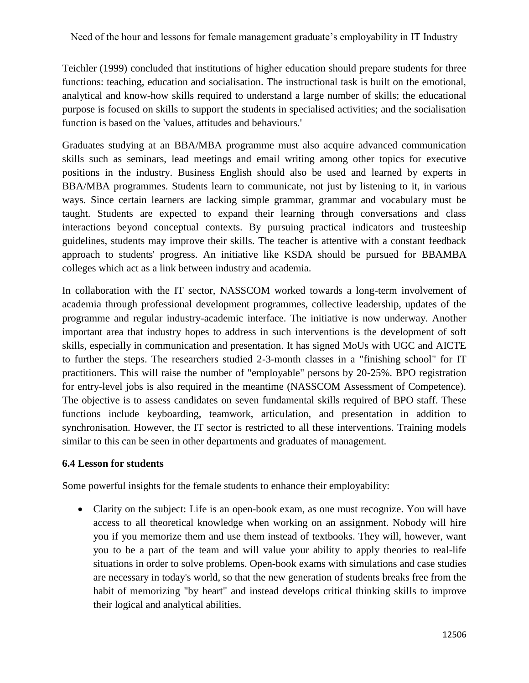Teichler (1999) concluded that institutions of higher education should prepare students for three functions: teaching, education and socialisation. The instructional task is built on the emotional, analytical and know-how skills required to understand a large number of skills; the educational purpose is focused on skills to support the students in specialised activities; and the socialisation function is based on the 'values, attitudes and behaviours.'

Graduates studying at an BBA/MBA programme must also acquire advanced communication skills such as seminars, lead meetings and email writing among other topics for executive positions in the industry. Business English should also be used and learned by experts in BBA/MBA programmes. Students learn to communicate, not just by listening to it, in various ways. Since certain learners are lacking simple grammar, grammar and vocabulary must be taught. Students are expected to expand their learning through conversations and class interactions beyond conceptual contexts. By pursuing practical indicators and trusteeship guidelines, students may improve their skills. The teacher is attentive with a constant feedback approach to students' progress. An initiative like KSDA should be pursued for BBAMBA colleges which act as a link between industry and academia.

In collaboration with the IT sector, NASSCOM worked towards a long-term involvement of academia through professional development programmes, collective leadership, updates of the programme and regular industry-academic interface. The initiative is now underway. Another important area that industry hopes to address in such interventions is the development of soft skills, especially in communication and presentation. It has signed MoUs with UGC and AICTE to further the steps. The researchers studied 2-3-month classes in a "finishing school" for IT practitioners. This will raise the number of "employable" persons by 20-25%. BPO registration for entry-level jobs is also required in the meantime (NASSCOM Assessment of Competence). The objective is to assess candidates on seven fundamental skills required of BPO staff. These functions include keyboarding, teamwork, articulation, and presentation in addition to synchronisation. However, the IT sector is restricted to all these interventions. Training models similar to this can be seen in other departments and graduates of management.

#### **6.4 Lesson for students**

Some powerful insights for the female students to enhance their employability:

• Clarity on the subject: Life is an open-book exam, as one must recognize. You will have access to all theoretical knowledge when working on an assignment. Nobody will hire you if you memorize them and use them instead of textbooks. They will, however, want you to be a part of the team and will value your ability to apply theories to real-life situations in order to solve problems. Open-book exams with simulations and case studies are necessary in today's world, so that the new generation of students breaks free from the habit of memorizing "by heart" and instead develops critical thinking skills to improve their logical and analytical abilities.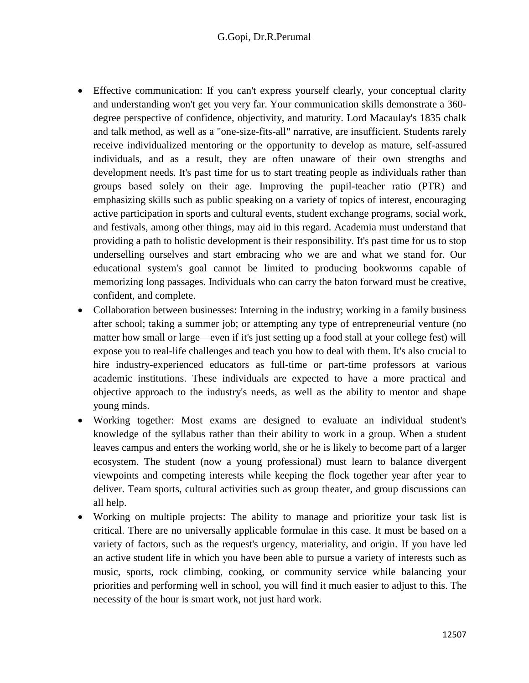- Effective communication: If you can't express yourself clearly, your conceptual clarity and understanding won't get you very far. Your communication skills demonstrate a 360 degree perspective of confidence, objectivity, and maturity. Lord Macaulay's 1835 chalk and talk method, as well as a "one-size-fits-all" narrative, are insufficient. Students rarely receive individualized mentoring or the opportunity to develop as mature, self-assured individuals, and as a result, they are often unaware of their own strengths and development needs. It's past time for us to start treating people as individuals rather than groups based solely on their age. Improving the pupil-teacher ratio (PTR) and emphasizing skills such as public speaking on a variety of topics of interest, encouraging active participation in sports and cultural events, student exchange programs, social work, and festivals, among other things, may aid in this regard. Academia must understand that providing a path to holistic development is their responsibility. It's past time for us to stop underselling ourselves and start embracing who we are and what we stand for. Our educational system's goal cannot be limited to producing bookworms capable of memorizing long passages. Individuals who can carry the baton forward must be creative, confident, and complete.
- Collaboration between businesses: Interning in the industry; working in a family business after school; taking a summer job; or attempting any type of entrepreneurial venture (no matter how small or large—even if it's just setting up a food stall at your college fest) will expose you to real-life challenges and teach you how to deal with them. It's also crucial to hire industry-experienced educators as full-time or part-time professors at various academic institutions. These individuals are expected to have a more practical and objective approach to the industry's needs, as well as the ability to mentor and shape young minds.
- Working together: Most exams are designed to evaluate an individual student's knowledge of the syllabus rather than their ability to work in a group. When a student leaves campus and enters the working world, she or he is likely to become part of a larger ecosystem. The student (now a young professional) must learn to balance divergent viewpoints and competing interests while keeping the flock together year after year to deliver. Team sports, cultural activities such as group theater, and group discussions can all help.
- Working on multiple projects: The ability to manage and prioritize your task list is critical. There are no universally applicable formulae in this case. It must be based on a variety of factors, such as the request's urgency, materiality, and origin. If you have led an active student life in which you have been able to pursue a variety of interests such as music, sports, rock climbing, cooking, or community service while balancing your priorities and performing well in school, you will find it much easier to adjust to this. The necessity of the hour is smart work, not just hard work.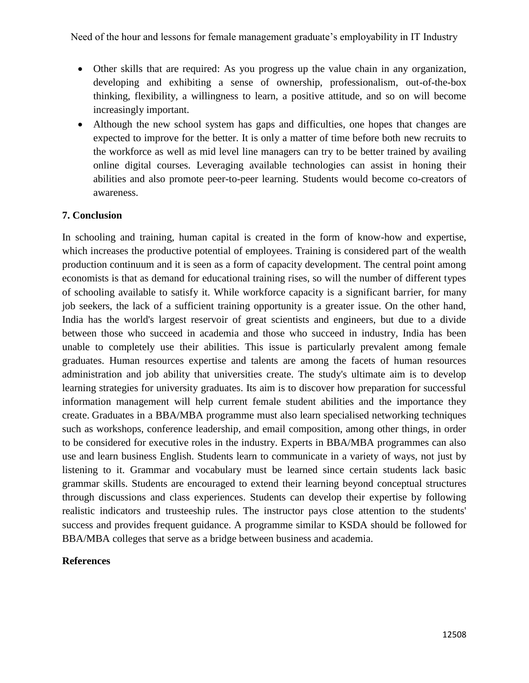- Other skills that are required: As you progress up the value chain in any organization, developing and exhibiting a sense of ownership, professionalism, out-of-the-box thinking, flexibility, a willingness to learn, a positive attitude, and so on will become increasingly important.
- Although the new school system has gaps and difficulties, one hopes that changes are expected to improve for the better. It is only a matter of time before both new recruits to the workforce as well as mid level line managers can try to be better trained by availing online digital courses. Leveraging available technologies can assist in honing their abilities and also promote peer-to-peer learning. Students would become co-creators of awareness.

#### **7. Conclusion**

In schooling and training, human capital is created in the form of know-how and expertise, which increases the productive potential of employees. Training is considered part of the wealth production continuum and it is seen as a form of capacity development. The central point among economists is that as demand for educational training rises, so will the number of different types of schooling available to satisfy it. While workforce capacity is a significant barrier, for many job seekers, the lack of a sufficient training opportunity is a greater issue. On the other hand, India has the world's largest reservoir of great scientists and engineers, but due to a divide between those who succeed in academia and those who succeed in industry, India has been unable to completely use their abilities. This issue is particularly prevalent among female graduates. Human resources expertise and talents are among the facets of human resources administration and job ability that universities create. The study's ultimate aim is to develop learning strategies for university graduates. Its aim is to discover how preparation for successful information management will help current female student abilities and the importance they create. Graduates in a BBA/MBA programme must also learn specialised networking techniques such as workshops, conference leadership, and email composition, among other things, in order to be considered for executive roles in the industry. Experts in BBA/MBA programmes can also use and learn business English. Students learn to communicate in a variety of ways, not just by listening to it. Grammar and vocabulary must be learned since certain students lack basic grammar skills. Students are encouraged to extend their learning beyond conceptual structures through discussions and class experiences. Students can develop their expertise by following realistic indicators and trusteeship rules. The instructor pays close attention to the students' success and provides frequent guidance. A programme similar to KSDA should be followed for BBA/MBA colleges that serve as a bridge between business and academia.

#### **References**